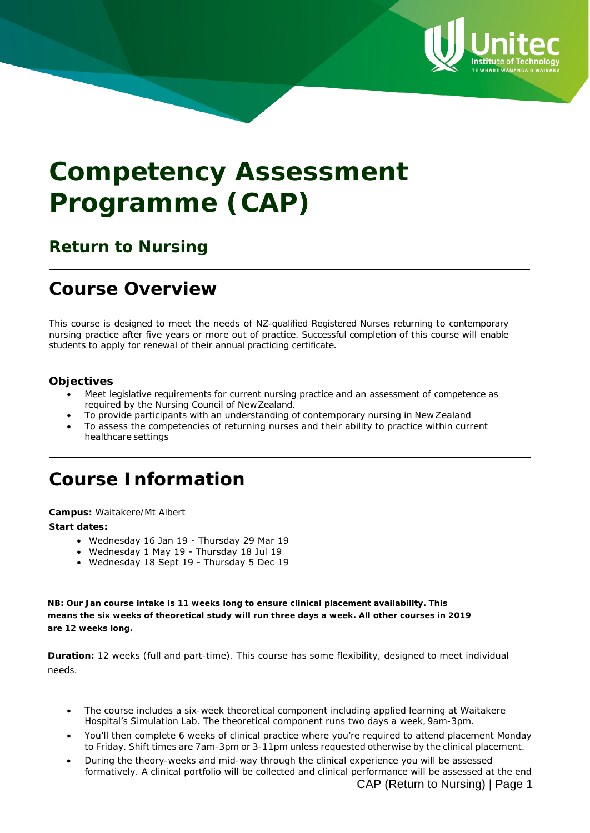

# **Competency Assessment Programme (CAP)**

### **Return to Nursing**

# **Course Overview**

This course is designed to meet the needs of NZ-qualified Registered Nurses returning to contemporary nursing practice after five years or more out of practice. Successful completion of this course will enable students to apply for renewal of their annual practicing certificate.

#### **Objectives**

- Meet legislative requirements for current nursing practice and an assessment of competence as required by the Nursing Council of NewZealand.
- To provide participants with an understanding of contemporary nursing in New Zealand
- To assess the competencies of returning nurses and their ability to practice within current healthcare settings

# **Course Information**

**Campus:** Waitakere/Mt Albert

#### **Start dates:**

- Wednesday 16 Jan 19 Thursday 29 Mar 19
- Wednesday 1 May 19 Thursday 18 Jul 19
- Wednesday 18 Sept 19 Thursday 5 Dec 19

**NB: Our Jan course intake is 11 weeks long to ensure clinical placement availability. This means the six weeks of theoretical study will run three days a week. All other courses in 2019 are 12 weeks long.** 

**Duration:** 12 weeks (full and part-time). This course has some flexibility, designed to meet individual needs.

- The course includes a six-week theoretical component including applied learning at Waitakere Hospital's Simulation Lab. The theoretical component runs two days a week, 9am-3pm.
- You'll then complete 6 weeks of clinical practice where you're required to attend placement Monday to Friday. Shift times are 7am-3pm or 3-11pm unless requested otherwise by the clinical placement.
- During the theory-weeks and mid-way through the clinical experience you will be assessed formatively. A clinical portfolio will be collected and clinical performance will be assessed at the end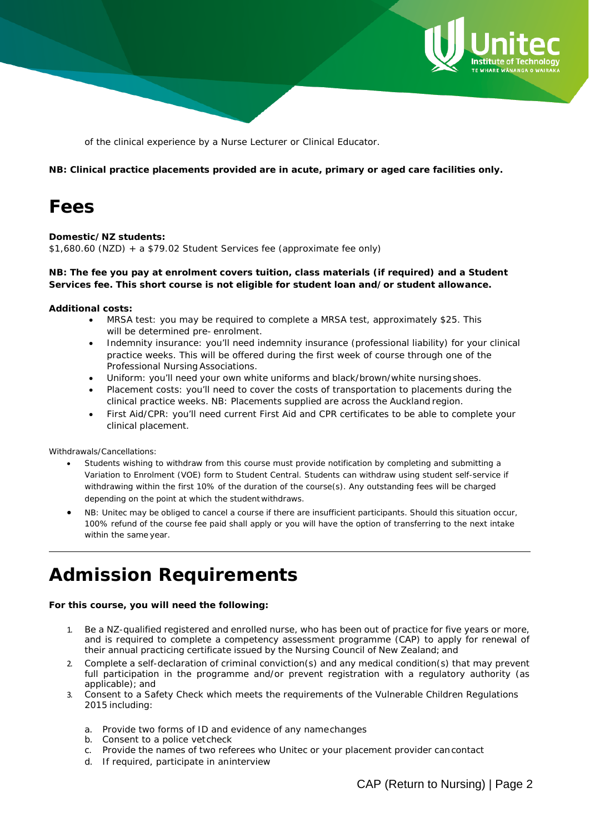

of the clinical experience by a Nurse Lecturer or Clinical Educator.

**NB: Clinical practice placements provided are in acute, primary or aged care facilities only.**

# **Fees**

#### **Domestic/NZ students:**

\$1,680.60 (NZD) + a \$79.02 Student Services fee (approximate fee only)

#### **NB: The fee you pay at enrolment covers tuition, class materials (if required) and a Student Services fee. This short course is not eligible for student loan and/or student allowance.**

#### **Additional costs:**

- MRSA test: you may be required to complete a MRSA test, approximately \$25. This will be determined pre- enrolment.
- Indemnity insurance: you'll need indemnity insurance (professional liability) for your clinical practice weeks. This will be offered during the first week of course through one of the Professional Nursing Associations.
- Uniform: you'll need your own white uniforms and black/brown/white nursingshoes.
- Placement costs: you'll need to cover the costs of transportation to placements during the clinical practice weeks. NB: Placements supplied are across the Auckland region.
- First Aid/CPR: you'll need current First Aid and CPR certificates to be able to complete your clinical placement.

#### *Withdrawals/Cancellations:*

- *Students wishing to withdraw from this course must provide notification by completing and submitting a Variation to Enrolment (VOE) form to Student Central. Students can withdraw using student self-service if withdrawing within the first 10% of the duration of the course(s). Any outstanding fees will be charged depending on the point at which the student withdraws.*
- NB: Unitec may be obliged to cancel a course if there are insufficient participants. Should this situation occur, *100% refund of the course fee paid shall apply or you will have the option of transferring to the next intake within the same year.*

# **Admission Requirements**

#### **For this course, you will need the following:**

- 1. Be a NZ-qualified registered and enrolled nurse, who has been out of practice for five years or more, and is required to complete a competency assessment programme (CAP) to apply for renewal of their annual practicing certificate issued by the Nursing Council of New Zealand; and
- 2. Complete a self-declaration of criminal conviction(s) and any medical condition(s) that may prevent full participation in the programme and/or prevent registration with a regulatory authority (as applicable); and
- 3. Consent to a Safety Check which meets the requirements of the Vulnerable Children Regulations 2015 including:
	- a. Provide two [forms](http://www.unitec.ac.nz/application-and-funding/how-to-apply/supporting-documents) of ID and evidence of any namechanges
	- b. Consent to a police vetcheck
	- c. Provide the names of two referees who Unitec or your placement provider cancontact
	- d. If required, participate in aninterview